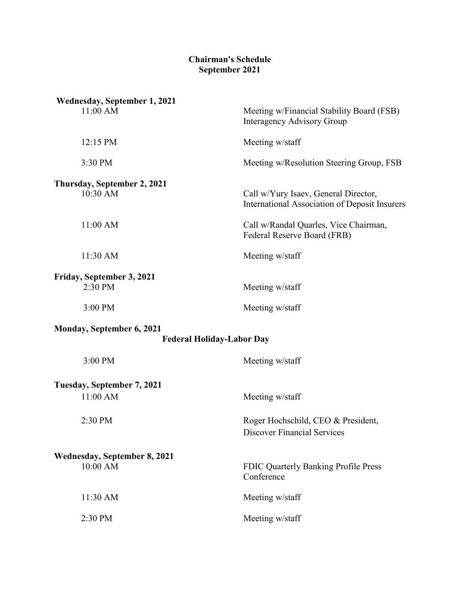## **Chairman's Schedule September 2021**

| Wednesday, September 1, 2021                                         |                                                                                       |
|----------------------------------------------------------------------|---------------------------------------------------------------------------------------|
| 11:00 AM                                                             | Meeting w/Financial Stability Board (FSB)<br><b>Interagency Advisory Group</b>        |
| 12:15 PM                                                             | Meeting w/staff                                                                       |
| 3:30 PM                                                              | Meeting w/Resolution Steering Group, FSB                                              |
| Thursday, September 2, 2021                                          |                                                                                       |
| 10:30 AM                                                             | Call w/Yury Isaev, General Director,<br>International Association of Deposit Insurers |
| 11:00 AM                                                             | Call w/Randal Quarles, Vice Chairman,<br>Federal Reserve Board (FRB)                  |
| 11:30 AM                                                             | Meeting w/staff                                                                       |
| Friday, September 3, 2021                                            |                                                                                       |
| 2:30 PM                                                              | Meeting w/staff                                                                       |
| 3:00 PM                                                              | Meeting w/staff                                                                       |
| <b>Monday, September 6, 2021</b><br><b>Federal Holiday-Labor Day</b> |                                                                                       |
| 3:00 PM                                                              | Meeting w/staff                                                                       |
| Tuesday, September 7, 2021                                           |                                                                                       |
| 11:00 AM                                                             | Meeting w/staff                                                                       |
| 2:30 PM                                                              | Roger Hochschild, CEO & President,<br><b>Discover Financial Services</b>              |
| <b>Wednesday, September 8, 2021</b><br>10:00 AM                      | FDIC Quarterly Banking Profile Press<br>Conference                                    |
|                                                                      |                                                                                       |
| 11:30 AM                                                             | Meeting w/staff                                                                       |
| 2:30 PM                                                              | Meeting w/staff                                                                       |
|                                                                      |                                                                                       |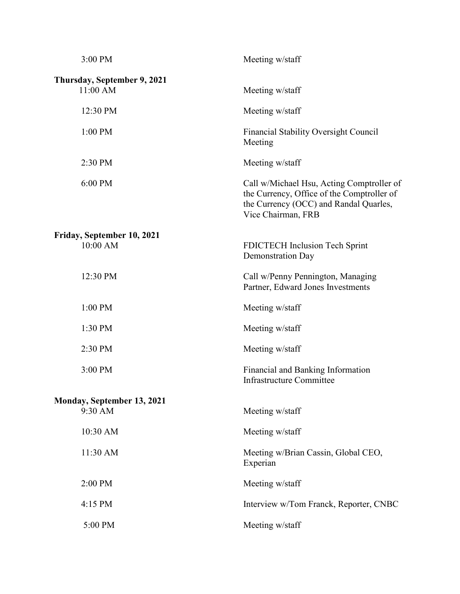| 3:00 PM                                 | Meeting w/staff                                                                                                                                         |
|-----------------------------------------|---------------------------------------------------------------------------------------------------------------------------------------------------------|
| Thursday, September 9, 2021<br>11:00 AM | Meeting w/staff                                                                                                                                         |
| 12:30 PM                                | Meeting w/staff                                                                                                                                         |
| 1:00 PM                                 | Financial Stability Oversight Council<br>Meeting                                                                                                        |
| 2:30 PM                                 | Meeting w/staff                                                                                                                                         |
| 6:00 PM                                 | Call w/Michael Hsu, Acting Comptroller of<br>the Currency, Office of the Comptroller of<br>the Currency (OCC) and Randal Quarles,<br>Vice Chairman, FRB |
| Friday, September 10, 2021              |                                                                                                                                                         |
| 10:00 AM                                | FDICTECH Inclusion Tech Sprint<br>Demonstration Day                                                                                                     |
| 12:30 PM                                | Call w/Penny Pennington, Managing<br>Partner, Edward Jones Investments                                                                                  |
| 1:00 PM                                 | Meeting w/staff                                                                                                                                         |
| 1:30 PM                                 | Meeting w/staff                                                                                                                                         |
| 2:30 PM                                 | Meeting w/staff                                                                                                                                         |
| 3:00 PM                                 | Financial and Banking Information<br><b>Infrastructure Committee</b>                                                                                    |
| Monday, September 13, 2021              |                                                                                                                                                         |
| 9:30 AM                                 | Meeting w/staff                                                                                                                                         |
| 10:30 AM                                | Meeting w/staff                                                                                                                                         |
| 11:30 AM                                | Meeting w/Brian Cassin, Global CEO,<br>Experian                                                                                                         |
| 2:00 PM                                 | Meeting w/staff                                                                                                                                         |
| 4:15 PM                                 | Interview w/Tom Franck, Reporter, CNBC                                                                                                                  |
| 5:00 PM                                 | Meeting w/staff                                                                                                                                         |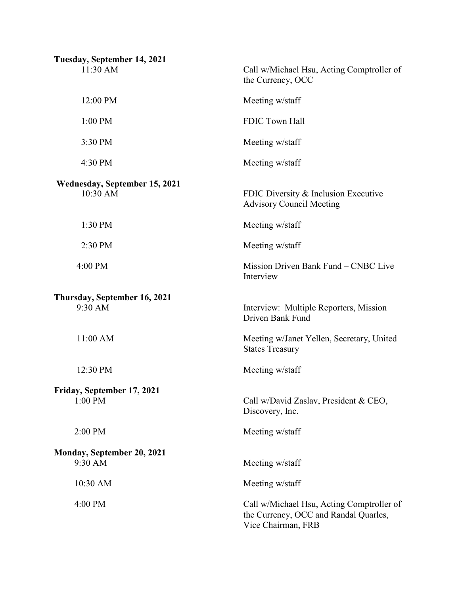| Tuesday, September 14, 2021               |                                                                                                          |
|-------------------------------------------|----------------------------------------------------------------------------------------------------------|
| 11:30 AM                                  | Call w/Michael Hsu, Acting Comptroller of<br>the Currency, OCC                                           |
| 12:00 PM                                  | Meeting w/staff                                                                                          |
| 1:00 PM                                   | FDIC Town Hall                                                                                           |
| 3:30 PM                                   | Meeting w/staff                                                                                          |
| 4:30 PM                                   | Meeting w/staff                                                                                          |
| Wednesday, September 15, 2021<br>10:30 AM | FDIC Diversity & Inclusion Executive<br><b>Advisory Council Meeting</b>                                  |
| 1:30 PM                                   | Meeting w/staff                                                                                          |
| 2:30 PM                                   | Meeting w/staff                                                                                          |
| 4:00 PM                                   | Mission Driven Bank Fund - CNBC Live<br>Interview                                                        |
| Thursday, September 16, 2021<br>9:30 AM   | Interview: Multiple Reporters, Mission<br>Driven Bank Fund                                               |
| 11:00 AM                                  | Meeting w/Janet Yellen, Secretary, United<br><b>States Treasury</b>                                      |
| 12:30 PM                                  | Meeting w/staff                                                                                          |
| Friday, September 17, 2021<br>$1:00$ PM   | Call w/David Zaslav, President & CEO,<br>Discovery, Inc.                                                 |
| 2:00 PM                                   | Meeting w/staff                                                                                          |
| Monday, September 20, 2021<br>9:30 AM     | Meeting w/staff                                                                                          |
| 10:30 AM                                  | Meeting w/staff                                                                                          |
| 4:00 PM                                   | Call w/Michael Hsu, Acting Comptroller of<br>the Currency, OCC and Randal Quarles,<br>Vice Chairman, FRB |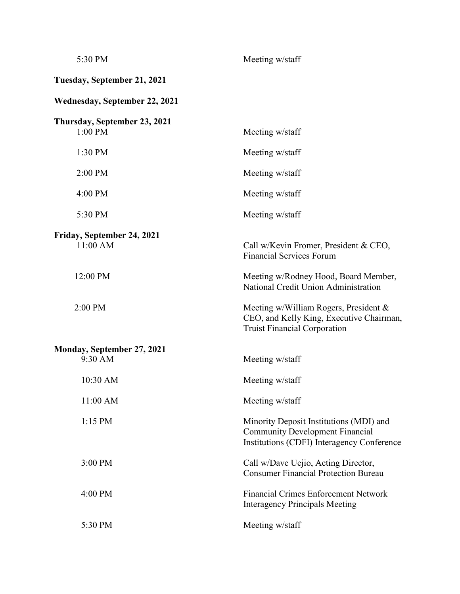| 5:30 PM                                 | Meeting w/staff                                                                                                                 |
|-----------------------------------------|---------------------------------------------------------------------------------------------------------------------------------|
| Tuesday, September 21, 2021             |                                                                                                                                 |
| <b>Wednesday, September 22, 2021</b>    |                                                                                                                                 |
| Thursday, September 23, 2021<br>1:00 PM | Meeting w/staff                                                                                                                 |
| 1:30 PM                                 | Meeting w/staff                                                                                                                 |
| 2:00 PM                                 | Meeting w/staff                                                                                                                 |
| 4:00 PM                                 | Meeting w/staff                                                                                                                 |
| 5:30 PM                                 | Meeting w/staff                                                                                                                 |
| Friday, September 24, 2021<br>11:00 AM  | Call w/Kevin Fromer, President & CEO,<br><b>Financial Services Forum</b>                                                        |
| 12:00 PM                                | Meeting w/Rodney Hood, Board Member,<br>National Credit Union Administration                                                    |
| 2:00 PM                                 | Meeting w/William Rogers, President &<br>CEO, and Kelly King, Executive Chairman,<br><b>Truist Financial Corporation</b>        |
| Monday, September 27, 2021<br>9:30 AM   | Meeting w/staff                                                                                                                 |
| 10:30 AM                                | Meeting w/staff                                                                                                                 |
| 11:00 AM                                | Meeting w/staff                                                                                                                 |
| 1:15 PM                                 | Minority Deposit Institutions (MDI) and<br><b>Community Development Financial</b><br>Institutions (CDFI) Interagency Conference |
| 3:00 PM                                 | Call w/Dave Uejio, Acting Director,<br><b>Consumer Financial Protection Bureau</b>                                              |
| 4:00 PM                                 | <b>Financial Crimes Enforcement Network</b><br><b>Interagency Principals Meeting</b>                                            |
| 5:30 PM                                 | Meeting w/staff                                                                                                                 |